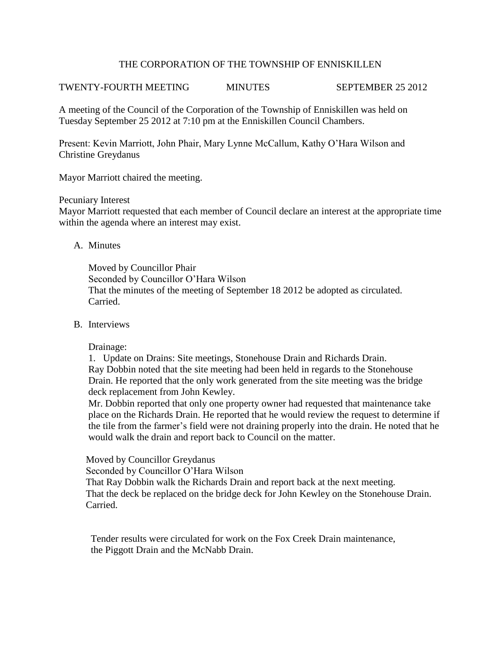## THE CORPORATION OF THE TOWNSHIP OF ENNISKILLEN

# TWENTY-FOURTH MEETING MINUTES SEPTEMBER 25 2012

A meeting of the Council of the Corporation of the Township of Enniskillen was held on Tuesday September 25 2012 at 7:10 pm at the Enniskillen Council Chambers.

Present: Kevin Marriott, John Phair, Mary Lynne McCallum, Kathy O'Hara Wilson and Christine Greydanus

Mayor Marriott chaired the meeting.

### Pecuniary Interest

Mayor Marriott requested that each member of Council declare an interest at the appropriate time within the agenda where an interest may exist.

## A. Minutes

Moved by Councillor Phair Seconded by Councillor O'Hara Wilson That the minutes of the meeting of September 18 2012 be adopted as circulated. Carried.

### B. Interviews

Drainage:

1. Update on Drains: Site meetings, Stonehouse Drain and Richards Drain. Ray Dobbin noted that the site meeting had been held in regards to the Stonehouse Drain. He reported that the only work generated from the site meeting was the bridge deck replacement from John Kewley.

 Mr. Dobbin reported that only one property owner had requested that maintenance take place on the Richards Drain. He reported that he would review the request to determine if the tile from the farmer's field were not draining properly into the drain. He noted that he would walk the drain and report back to Council on the matter.

Moved by Councillor Greydanus

Seconded by Councillor O'Hara Wilson

 That Ray Dobbin walk the Richards Drain and report back at the next meeting. That the deck be replaced on the bridge deck for John Kewley on the Stonehouse Drain. Carried.

 Tender results were circulated for work on the Fox Creek Drain maintenance, the Piggott Drain and the McNabb Drain.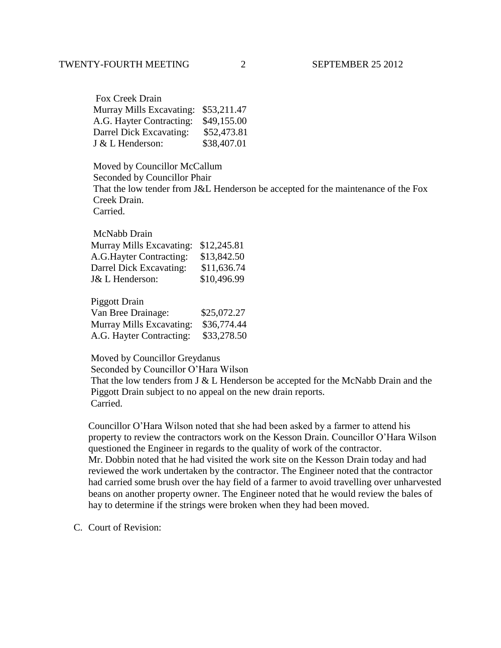| Fox Creek Drain                      |             |
|--------------------------------------|-------------|
| Murray Mills Excavating: \$53,211.47 |             |
| A.G. Hayter Contracting:             | \$49,155.00 |
| Darrel Dick Excavating:              | \$52,473.81 |
| J & L Henderson:                     | \$38,407.01 |

 Moved by Councillor McCallum Seconded by Councillor Phair That the low tender from J&L Henderson be accepted for the maintenance of the Fox Creek Drain. Carried.

 McNabb Drain Murray Mills Excavating: \$12,245.81 A.G.Hayter Contracting: \$13,842.50 Darrel Dick Excavating: \$11,636.74 J& L Henderson: \$10,496.99

Piggott Drain

| Van Bree Drainage:                   | \$25,072.27 |
|--------------------------------------|-------------|
| Murray Mills Excavating: \$36,774.44 |             |
| A.G. Hayter Contracting:             | \$33,278.50 |

Moved by Councillor Greydanus

Seconded by Councillor O'Hara Wilson

 That the low tenders from J & L Henderson be accepted for the McNabb Drain and the Piggott Drain subject to no appeal on the new drain reports. Carried.

 Councillor O'Hara Wilson noted that she had been asked by a farmer to attend his property to review the contractors work on the Kesson Drain. Councillor O'Hara Wilson questioned the Engineer in regards to the quality of work of the contractor. Mr. Dobbin noted that he had visited the work site on the Kesson Drain today and had reviewed the work undertaken by the contractor. The Engineer noted that the contractor had carried some brush over the hay field of a farmer to avoid travelling over unharvested beans on another property owner. The Engineer noted that he would review the bales of hay to determine if the strings were broken when they had been moved.

C. Court of Revision: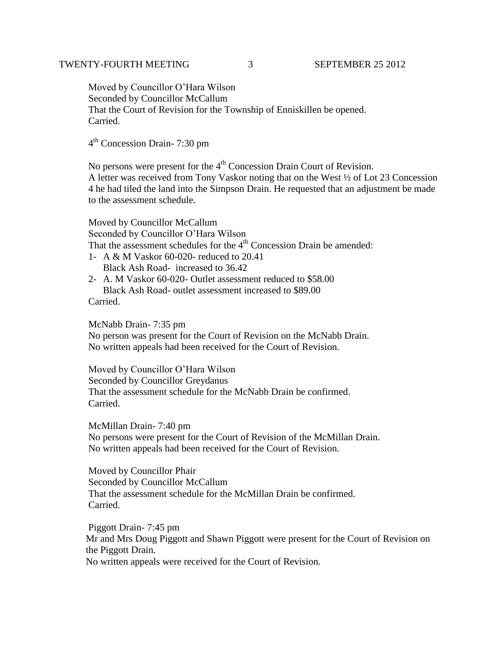Moved by Councillor O'Hara Wilson Seconded by Councillor McCallum That the Court of Revision for the Township of Enniskillen be opened. Carried.

4<sup>th</sup> Concession Drain- 7:30 pm

No persons were present for the  $4<sup>th</sup>$  Concession Drain Court of Revision.

A letter was received from Tony Vaskor noting that on the West ½ of Lot 23 Concession 4 he had tiled the land into the Simpson Drain. He requested that an adjustment be made to the assessment schedule.

Moved by Councillor McCallum

Seconded by Councillor O'Hara Wilson

That the assessment schedules for the  $4<sup>th</sup>$  Concession Drain be amended:

- 1- A & M Vaskor 60-020- reduced to 20.41 Black Ash Road- increased to 36.42
- 2- A. M Vaskor 60-020- Outlet assessment reduced to \$58.00 Black Ash Road- outlet assessment increased to \$89.00 Carried.

McNabb Drain- 7:35 pm No person was present for the Court of Revision on the McNabb Drain. No written appeals had been received for the Court of Revision.

Moved by Councillor O'Hara Wilson Seconded by Councillor Greydanus That the assessment schedule for the McNabb Drain be confirmed. Carried.

McMillan Drain- 7:40 pm No persons were present for the Court of Revision of the McMillan Drain. No written appeals had been received for the Court of Revision.

Moved by Councillor Phair Seconded by Councillor McCallum That the assessment schedule for the McMillan Drain be confirmed. Carried.

Piggott Drain- 7:45 pm Mr and Mrs Doug Piggott and Shawn Piggott were present for the Court of Revision on the Piggott Drain. No written appeals were received for the Court of Revision.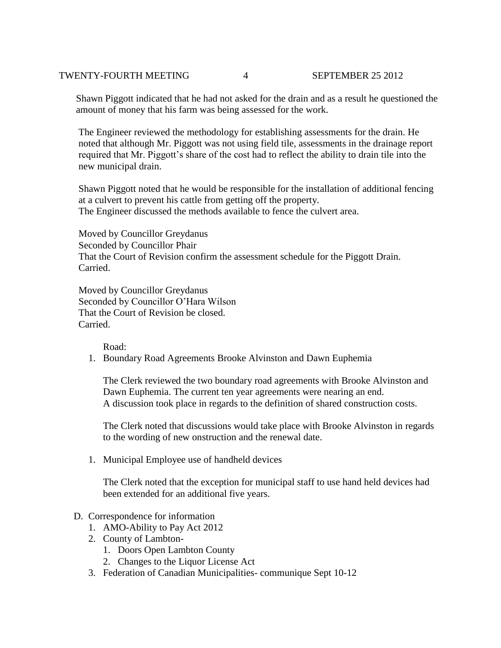# TWENTY-FOURTH MEETING 4 SEPTEMBER 25 2012

 Shawn Piggott indicated that he had not asked for the drain and as a result he questioned the amount of money that his farm was being assessed for the work.

 The Engineer reviewed the methodology for establishing assessments for the drain. He noted that although Mr. Piggott was not using field tile, assessments in the drainage report required that Mr. Piggott's share of the cost had to reflect the ability to drain tile into the new municipal drain.

 Shawn Piggott noted that he would be responsible for the installation of additional fencing at a culvert to prevent his cattle from getting off the property. The Engineer discussed the methods available to fence the culvert area.

 Moved by Councillor Greydanus Seconded by Councillor Phair That the Court of Revision confirm the assessment schedule for the Piggott Drain. Carried.

 Moved by Councillor Greydanus Seconded by Councillor O'Hara Wilson That the Court of Revision be closed. Carried.

Road:

1. Boundary Road Agreements Brooke Alvinston and Dawn Euphemia

The Clerk reviewed the two boundary road agreements with Brooke Alvinston and Dawn Euphemia. The current ten year agreements were nearing an end. A discussion took place in regards to the definition of shared construction costs.

The Clerk noted that discussions would take place with Brooke Alvinston in regards to the wording of new onstruction and the renewal date.

1. Municipal Employee use of handheld devices

The Clerk noted that the exception for municipal staff to use hand held devices had been extended for an additional five years.

# D. Correspondence for information

- 1. AMO-Ability to Pay Act 2012
- 2. County of Lambton-
	- 1. Doors Open Lambton County
	- 2. Changes to the Liquor License Act
- 3. Federation of Canadian Municipalities- communique Sept 10-12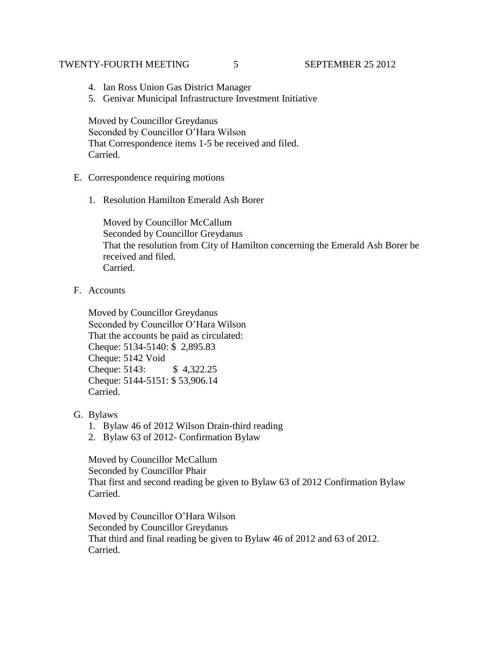### TWENTY-FOURTH MEETING 5 5 SEPTEMBER 25 2012

- 4. Ian Ross Union Gas District Manager
- 5. Genivar Municipal Infrastructure Investment Initiative

Moved by Councillor Greydanus Seconded by Councillor O'Hara Wilson That Correspondence items 1-5 be received and filed. Carried.

- E. Correspondence requiring motions
	- 1. Resolution Hamilton Emerald Ash Borer

Moved by Councillor McCallum Seconded by Councillor Greydanus That the resolution from City of Hamilton concerning the Emerald Ash Borer be received and filed. Carried.

F. Accounts

Moved by Councillor Greydanus Seconded by Councillor O'Hara Wilson That the accounts be paid as circulated: Cheque: 5134-5140: \$ 2,895.83 Cheque: 5142 Void Cheque: 5143: \$ 4,322.25 Cheque: 5144-5151: \$ 53,906.14 Carried.

- G. Bylaws
	- 1. Bylaw 46 of 2012 Wilson Drain-third reading
	- 2. Bylaw 63 of 2012- Confirmation Bylaw

Moved by Councillor McCallum Seconded by Councillor Phair That first and second reading be given to Bylaw 63 of 2012 Confirmation Bylaw Carried.

Moved by Councillor O'Hara Wilson Seconded by Councillor Greydanus That third and final reading be given to Bylaw 46 of 2012 and 63 of 2012. Carried.